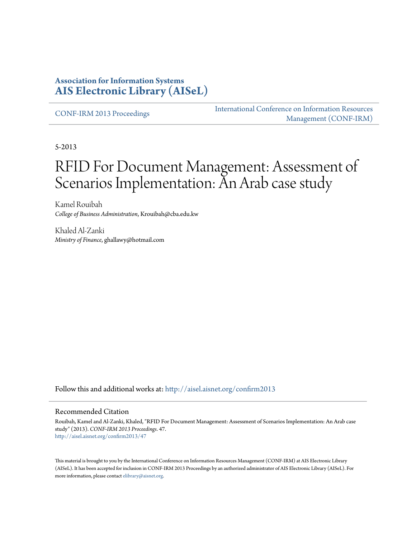# **Association for Information Systems [AIS Electronic Library \(AISeL\)](http://aisel.aisnet.org?utm_source=aisel.aisnet.org%2Fconfirm2013%2F47&utm_medium=PDF&utm_campaign=PDFCoverPages)**

[CONF-IRM 2013 Proceedings](http://aisel.aisnet.org/confirm2013?utm_source=aisel.aisnet.org%2Fconfirm2013%2F47&utm_medium=PDF&utm_campaign=PDFCoverPages)

[International Conference on Information Resources](http://aisel.aisnet.org/conf-irm?utm_source=aisel.aisnet.org%2Fconfirm2013%2F47&utm_medium=PDF&utm_campaign=PDFCoverPages) [Management \(CONF-IRM\)](http://aisel.aisnet.org/conf-irm?utm_source=aisel.aisnet.org%2Fconfirm2013%2F47&utm_medium=PDF&utm_campaign=PDFCoverPages)

5-2013

# RFID For Document Management: Assessment of Scenarios Implementation: An Arab case study

Kamel Rouibah *College of Business Administration*, Krouibah@cba.edu.kw

Khaled Al-Zanki *Ministry of Finance*, ghallawy@hotmail.com

Follow this and additional works at: [http://aisel.aisnet.org/confirm2013](http://aisel.aisnet.org/confirm2013?utm_source=aisel.aisnet.org%2Fconfirm2013%2F47&utm_medium=PDF&utm_campaign=PDFCoverPages)

#### Recommended Citation

Rouibah, Kamel and Al-Zanki, Khaled, "RFID For Document Management: Assessment of Scenarios Implementation: An Arab case study" (2013). *CONF-IRM 2013 Proceedings*. 47. [http://aisel.aisnet.org/confirm2013/47](http://aisel.aisnet.org/confirm2013/47?utm_source=aisel.aisnet.org%2Fconfirm2013%2F47&utm_medium=PDF&utm_campaign=PDFCoverPages)

This material is brought to you by the International Conference on Information Resources Management (CONF-IRM) at AIS Electronic Library (AISeL). It has been accepted for inclusion in CONF-IRM 2013 Proceedings by an authorized administrator of AIS Electronic Library (AISeL). For more information, please contact [elibrary@aisnet.org.](mailto:elibrary@aisnet.org%3E)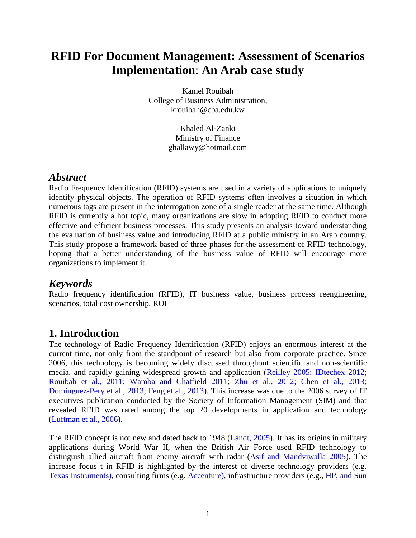# **RFID For Document Management: Assessment of Scenarios Implementation**: **An Arab case study**

Kamel Rouibah College of Business Administration, krouibah@cba.edu.kw

> Khaled Al-Zanki Ministry of Finance ghallawy@hotmail.com

#### *Abstract*

Radio Frequency Identification (RFID) systems are used in a variety of applications to uniquely identify physical objects. The operation of RFID systems often involves a situation in which numerous tags are present in the interrogation zone of a single reader at the same time. Although RFID is currently a hot topic, many organizations are slow in adopting RFID to conduct more effective and efficient business processes. This study presents an analysis toward understanding the evaluation of business value and introducing RFID at a public ministry in an Arab country. This study propose a framework based of three phases for the assessment of RFID technology, hoping that a better understanding of the business value of RFID will encourage more organizations to implement it.

# *Keywords*

Radio frequency identification (RFID), IT business value, business process reengineering, scenarios, total cost ownership, ROI

# **1. Introduction**

The technology of Radio Frequency Identification (RFID) enjoys an enormous interest at the current time, not only from the standpoint of research but also from corporate practice. Since 2006, this technology is becoming widely discussed throughout scientific and non-scientific media, and rapidly gaining widespread growth and application (Reilley 2005; IDtechex 2012; Rouibah et al., 2011; [Wamba](http://link.springer.com/search?facet-author=%22Samuel+Fosso+Wamba%22) and [Chatfield](http://link.springer.com/search?facet-author=%22Akemi+Takeoka+Chatfield%22) 2011; Zhu et al., 2012; Chen et al., 2013; Dominguez-Péry et al., 2013; Feng et al., 2013). This increase was due to the 2006 survey of IT executives publication conducted by the Society of Information Management (SIM) and that revealed RFID was rated among the top 20 developments in application and technology (Luftman et al., 2006).

The RFID concept is not new and dated back to 1948 (Landt, 2005). It has its origins in military applications during World War II, when the British Air Force used RFID technology to distinguish allied aircraft from enemy aircraft with radar (Asif and Mandviwalla 2005). The increase focus t in RFID is highlighted by the interest of diverse technology providers (e.g. Texas Instruments), consulting firms (e.g. Accenture), infrastructure providers (e.g., HP, and Sun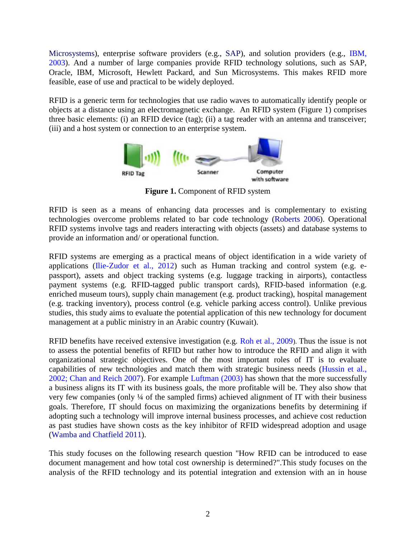Microsystems), enterprise software providers (e.g., SAP), and solution providers (e.g., IBM, 2003). And a number of large companies provide RFID technology solutions, such as SAP, Oracle, IBM, Microsoft, Hewlett Packard, and Sun Microsystems. This makes RFID more feasible, ease of use and practical to be widely deployed.

RFID is a generic term for technologies that use radio waves to automatically identify people or objects at a distance using an electromagnetic exchange. An RFID system [\(Figure 1\)](#page-2-0) comprises three basic elements: (i) an RFID device (tag); (ii) a tag reader with an antenna and transceiver; (iii) and a host system or connection to an enterprise system.



**Figure 1.** Component of RFID system

<span id="page-2-0"></span>RFID is seen as a means of enhancing data processes and is complementary to existing technologies overcome problems related to bar code technology (Roberts 2006). Operational RFID systems involve tags and readers interacting with objects (assets) and database systems to provide an information and/ or operational function.

RFID systems are emerging as a practical means of object identification in a wide variety of applications (Ilie-Zudor et al., 2012) such as Human tracking and control system (e.g. epassport), assets and object tracking systems (e.g. luggage tracking in airports), contactless payment systems (e.g. RFID-tagged public transport cards), RFID-based information (e.g. enriched museum tours), supply chain management (e.g. product tracking), hospital management (e.g. tracking inventory), process control (e.g. vehicle parking access control). Unlike previous studies, this study aims to evaluate the potential application of this new technology for document management at a public ministry in an Arabic country (Kuwait).

RFID benefits have received extensive investigation (e.g. Roh et al., 2009). Thus the issue is not to assess the potential benefits of RFID but rather how to introduce the RFID and align it with organizational strategic objectives. One of the most important roles of IT is to evaluate capabilities of new technologies and match them with strategic business needs (Hussin et al., 2002; Chan and Reich 2007). For example Luftman (2003) has shown that the more successfully a business aligns its IT with its business goals, the more profitable will be. They also show that very few companies (only ¼ of the sampled firms) achieved alignment of IT with their business goals. Therefore, IT should focus on maximizing the organizations benefits by determining if adopting such a technology will improve internal business processes, and achieve cost reduction as past studies have shown costs as the key inhibitor of RFID widespread adoption and usage [\(Wamba](http://link.springer.com/search?facet-author=%22Samuel+Fosso+Wamba%22) and [Chatfield](http://link.springer.com/search?facet-author=%22Akemi+Takeoka+Chatfield%22) 2011).

This study focuses on the following research question "How RFID can be introduced to ease document management and how total cost ownership is determined?".This study focuses on the analysis of the RFID technology and its potential integration and extension with an in house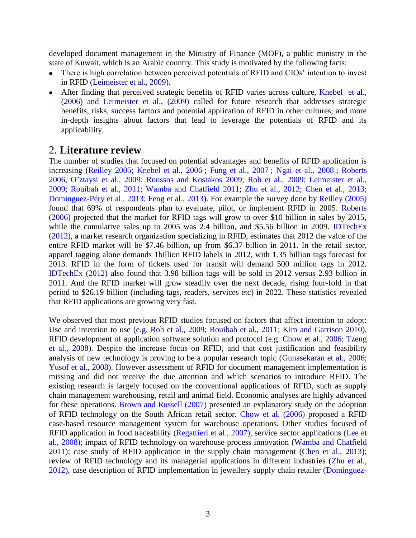developed document management in the Ministry of Finance (MOF), a public ministry in the state of Kuwait, which is an Arabic country. This study is motivated by the following facts:

- There is high correlation between perceived potentials of RFID and CIOs' intention to invest in RFID (Leimeister et al., 2009).
- After finding that perceived strategic benefits of RFID varies across culture, Knebel et al., (2006) and Leimeister et al., (2009) called for future research that addresses strategic benefits, risks, success factors and potential application of RFID in other cultures; and more in-depth insights about factors that lead to leverage the potentials of RFID and its applicability.

#### 2. **Literature review**

The number of studies that focused on potential advantages and benefits of RFID application is increasing (Reilley 2005; Knebel et al., 2006 ; Fung et al., 2007 ; Ngai et al., 2008 ; Roberts 2006, O¨ztaysi et al., 2009; Roussos and Kostakos 2009; Roh et al., 2009; Leimeister et al., 2009; Rouibah et al., 2011; [Wamba](http://link.springer.com/search?facet-author=%22Samuel+Fosso+Wamba%22) and [Chatfield](http://link.springer.com/search?facet-author=%22Akemi+Takeoka+Chatfield%22) 2011; Zhu et al., 2012; Chen et al., 2013; Dominguez-Péry et al., 2013; Feng et al., 2013). For example the survey done by Reilley (2005) found that 69% of respondents plan to evaluate, pilot, or implement RFID in 2005. Roberts (2006) projected that the market for RFID tags will grow to over \$10 billion in sales by 2015, while the cumulative sales up to 2005 was 2.4 billion, and \$5.56 billion in 2009. IDTechEx (2012), a market research organization specializing in RFID, estimates that 2012 the value of the entire RFID market will be \$7.46 billion, up from \$6.37 billion in 2011. In the retail sector, apparel tagging alone demands 1billion RFID labels in 2012, with 1.35 billion tags forecast for 2013. RFID in the form of tickets used for transit will demand 500 million tags in 2012. IDTechEx (2012) also found that 3.98 billion tags will be sold in 2012 versus 2.93 billion in 2011. And the RFID market will grow steadily over the next decade, rising four-fold in that period to \$26.19 billion (including tags, readers, services etc) in 2022. These statistics revealed that RFID applications are growing very fast.

We observed that most previous RFID studies focused on factors that affect intention to adopt: Use and intention to use (e.g. Roh et al., 2009; Rouibah et al., 2011; Kim and Garrison 2010), RFID development of application software solution and protocol (e.g. Chow et al., 2006; Tzeng et al., 2008). Despite the increase focus on RFID, and that cost justification and feasibility analysis of new technology is proving to be a popular research topic (Gunasekaran et al., 2006; Yusof et al., 2008). However assessment of RFID for document management implementation is missing and did not receive the due attention and which scenarios to introduce RFID. The existing research is largely focused on the conventional applications of RFID, such as supply chain management warehousing, retail and animal field. Economic analyses are highly advanced for these operations. Brown and Russell (2007) presented an explanatory study on the adoption of RFID technology on the South African retail sector. Chow et al. (2006) proposed a RFID case-based resource management system for warehouse operations. Other studies focused of RFID application in food traceability (Regattieri et al., 2007), service sector applications (Lee et al., 2008); impact of RFID technology on warehouse process innovation [\(Wamba](http://link.springer.com/search?facet-author=%22Samuel+Fosso+Wamba%22) and [Chatfield](http://link.springer.com/search?facet-author=%22Akemi+Takeoka+Chatfield%22) 2011); case study of RFID application in the supply chain management (Chen et al., 2013); review of RFID technology and its managerial applications in different industries (Zhu et al., 2012), case description of RFID implementation in jewellery supply chain retailer (Dominguez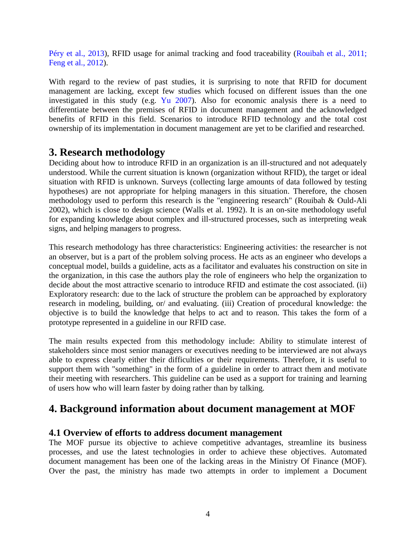Péry et al., 2013), RFID usage for animal tracking and food traceability (Rouibah et al., 2011; Feng et al., 2012).

With regard to the review of past studies, it is surprising to note that RFID for document management are lacking, except few studies which focused on different issues than the one investigated in this study (e.g. Yu 2007). Also for economic analysis there is a need to differentiate between the premises of RFID in document management and the acknowledged benefits of RFID in this field. Scenarios to introduce RFID technology and the total cost ownership of its implementation in document management are yet to be clarified and researched.

# **3. Research methodology**

Deciding about how to introduce RFID in an organization is an ill-structured and not adequately understood. While the current situation is known (organization without RFID), the target or ideal situation with RFID is unknown. Surveys (collecting large amounts of data followed by testing hypotheses) are not appropriate for helping managers in this situation. Therefore, the chosen methodology used to perform this research is the "engineering research" (Rouibah & Ould-Ali 2002), which is close to design science (Walls et al. 1992). It is an on-site methodology useful for expanding knowledge about complex and ill-structured processes, such as interpreting weak signs, and helping managers to progress.

This research methodology has three characteristics: Engineering activities: the researcher is not an observer, but is a part of the problem solving process. He acts as an engineer who develops a conceptual model, builds a guideline, acts as a facilitator and evaluates his construction on site in the organization, in this case the authors play the role of engineers who help the organization to decide about the most attractive scenario to introduce RFID and estimate the cost associated. (ii) Exploratory research: due to the lack of structure the problem can be approached by exploratory research in modeling, building, or/ and evaluating. (iii) Creation of procedural knowledge: the objective is to build the knowledge that helps to act and to reason. This takes the form of a prototype represented in a guideline in our RFID case.

The main results expected from this methodology include: Ability to stimulate interest of stakeholders since most senior managers or executives needing to be interviewed are not always able to express clearly either their difficulties or their requirements. Therefore, it is useful to support them with "something" in the form of a guideline in order to attract them and motivate their meeting with researchers. This guideline can be used as a support for training and learning of users how who will learn faster by doing rather than by talking.

# **4. Background information about document management at MOF**

#### **4.1 Overview of efforts to address document management**

The MOF pursue its objective to achieve competitive advantages, streamline its business processes, and use the latest technologies in order to achieve these objectives. Automated document management has been one of the lacking areas in the Ministry Of Finance (MOF). Over the past, the ministry has made two attempts in order to implement a Document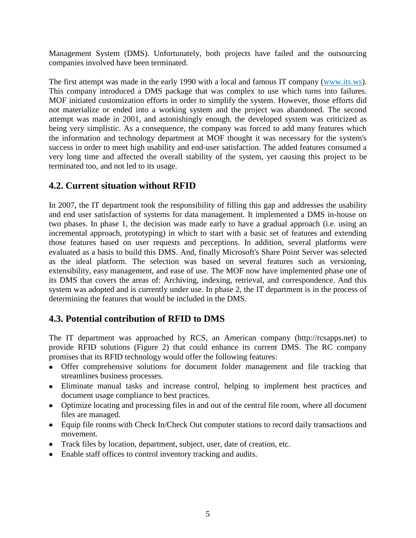Management System (DMS). Unfortunately, both projects have failed and the outsourcing companies involved have been terminated.

The first attempt was made in the early 1990 with a local and famous IT company (www.its.ws). This company introduced a DMS package that was complex to use which turns into failures. MOF initiated customization efforts in order to simplify the system. However, those efforts did not materialize or ended into a working system and the project was abandoned. The second attempt was made in 2001, and astonishingly enough, the developed system was criticized as being very simplistic. As a consequence, the company was forced to add many features which the information and technology department at MOF thought it was necessary for the system's success in order to meet high usability and end-user satisfaction. The added features consumed a very long time and affected the overall stability of the system, yet causing this project to be terminated too, and not led to its usage.

# **4.2. Current situation without RFID**

In 2007, the IT department took the responsibility of filling this gap and addresses the usability and end user satisfaction of systems for data management. It implemented a DMS in-house on two phases. In phase 1, the decision was made early to have a gradual approach (i.e. using an incremental approach, prototyping) in which to start with a basic set of features and extending those features based on user requests and perceptions. In addition, several platforms were evaluated as a basis to build this DMS. And, finally Microsoft's Share Point Server was selected as the ideal platform. The selection was based on several features such as versioning, extensibility, easy management, and ease of use. The MOF now have implemented phase one of its DMS that covers the areas of: Archiving, indexing, retrieval, and correspondence. And this system was adopted and is currently under use. In phase 2, the IT department is in the process of determining the features that would be included in the DMS.

# **4.3. Potential contribution of RFID to DMS**

The IT department was approached by RCS, an American company (http://rcsapps.net) to provide RFID solutions [\(Figure 2\)](#page-6-0) that could enhance its current DMS. The RC company promises that its RFID technology would offer the following features:

- Offer comprehensive solutions for document folder management and file tracking that streamlines business processes.
- Eliminate manual tasks and increase control, helping to implement best practices and document usage compliance to best practices.
- Optimize locating and processing files in and out of the central file room, where all document files are managed.
- Equip file rooms with Check In/Check Out computer stations to record daily transactions and movement.
- Track files by location, department, subject, user, date of creation, etc.
- Enable staff offices to control inventory tracking and audits.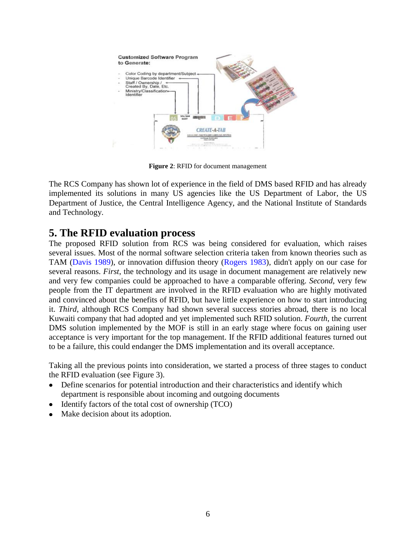

**Figure 2**: RFID for document management

<span id="page-6-0"></span>The RCS Company has shown lot of experience in the field of DMS based RFID and has already implemented its solutions in many US agencies like the US Department of Labor, the US Department of Justice, the Central Intelligence Agency, and the National Institute of Standards and Technology.

# **5. The RFID evaluation process**

The proposed RFID solution from RCS was being considered for evaluation, which raises several issues. Most of the normal software selection criteria taken from known theories such as TAM (Davis 1989), or innovation diffusion theory (Rogers 1983), didn't apply on our case for several reasons. *First*, the technology and its usage in document management are relatively new and very few companies could be approached to have a comparable offering. *Second*, very few people from the IT department are involved in the RFID evaluation who are highly motivated and convinced about the benefits of RFID, but have little experience on how to start introducing it. *Third*, although RCS Company had shown several success stories abroad, there is no local Kuwaiti company that had adopted and yet implemented such RFID solution. *Fourth*, the current DMS solution implemented by the MOF is still in an early stage where focus on gaining user acceptance is very important for the top management. If the RFID additional features turned out to be a failure, this could endanger the DMS implementation and its overall acceptance.

Taking all the previous points into consideration, we started a process of three stages to conduct the RFID evaluation (see [Figure 3\)](#page-7-0).

- Define scenarios for potential introduction and their characteristics and identify which  $\bullet$ department is responsible about incoming and outgoing documents
- Identify factors of the total cost of ownership (TCO)
- Make decision about its adoption.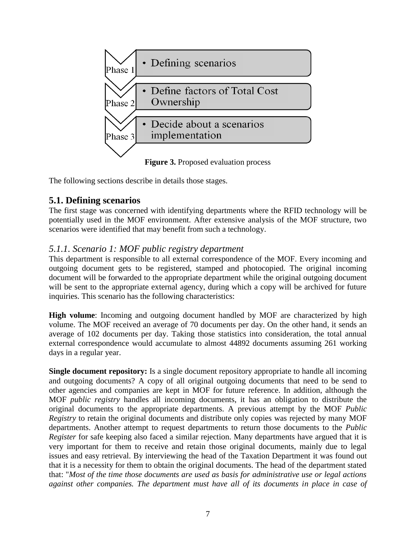

**Figure 3.** Proposed evaluation process

<span id="page-7-0"></span>The following sections describe in details those stages.

# **5.1. Defining scenarios**

The first stage was concerned with identifying departments where the RFID technology will be potentially used in the MOF environment. After extensive analysis of the MOF structure, two scenarios were identified that may benefit from such a technology.

#### *5.1.1. Scenario 1: MOF public registry department*

This department is responsible to all external correspondence of the MOF. Every incoming and outgoing document gets to be registered, stamped and photocopied. The original incoming document will be forwarded to the appropriate department while the original outgoing document will be sent to the appropriate external agency, during which a copy will be archived for future inquiries. This scenario has the following characteristics:

**High volume**: Incoming and outgoing document handled by MOF are characterized by high volume. The MOF received an average of 70 documents per day. On the other hand, it sends an average of 102 documents per day. Taking those statistics into consideration, the total annual external correspondence would accumulate to almost 44892 documents assuming 261 working days in a regular year.

**Single document repository:** Is a single document repository appropriate to handle all incoming and outgoing documents? A copy of all original outgoing documents that need to be send to other agencies and companies are kept in MOF for future reference. In addition, although the MOF *public registry* handles all incoming documents, it has an obligation to distribute the original documents to the appropriate departments. A previous attempt by the MOF *Public Registry* to retain the original documents and distribute only copies was rejected by many MOF departments. Another attempt to request departments to return those documents to the *Public Register* for safe keeping also faced a similar rejection. Many departments have argued that it is very important for them to receive and retain those original documents, mainly due to legal issues and easy retrieval. By interviewing the head of the Taxation Department it was found out that it is a necessity for them to obtain the original documents. The head of the department stated that: "*Most of the time those documents are used as basis for administrative use or legal actions against other companies. The department must have all of its documents in place in case of*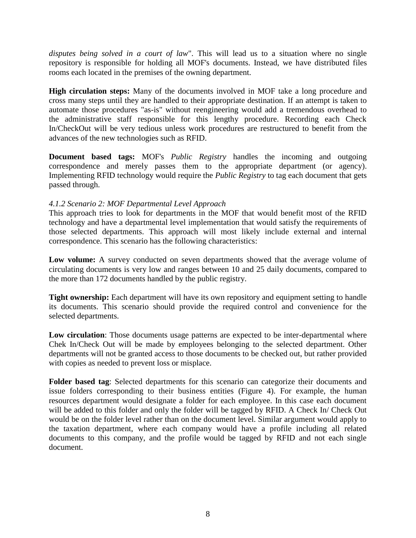*disputes being solved in a court of law*". This will lead us to a situation where no single repository is responsible for holding all MOF's documents. Instead, we have distributed files rooms each located in the premises of the owning department.

**High circulation steps:** Many of the documents involved in MOF take a long procedure and cross many steps until they are handled to their appropriate destination. If an attempt is taken to automate those procedures "as-is" without reengineering would add a tremendous overhead to the administrative staff responsible for this lengthy procedure. Recording each Check In/CheckOut will be very tedious unless work procedures are restructured to benefit from the advances of the new technologies such as RFID.

**Document based tags:** MOF's *Public Registry* handles the incoming and outgoing correspondence and merely passes them to the appropriate department (or agency). Implementing RFID technology would require the *Public Registry* to tag each document that gets passed through.

#### *4.1.2 Scenario 2: MOF Departmental Level Approach*

This approach tries to look for departments in the MOF that would benefit most of the RFID technology and have a departmental level implementation that would satisfy the requirements of those selected departments. This approach will most likely include external and internal correspondence. This scenario has the following characteristics:

Low volume: A survey conducted on seven departments showed that the average volume of circulating documents is very low and ranges between 10 and 25 daily documents, compared to the more than 172 documents handled by the public registry.

**Tight ownership:** Each department will have its own repository and equipment setting to handle its documents. This scenario should provide the required control and convenience for the selected departments.

**Low circulation**: Those documents usage patterns are expected to be inter-departmental where Chek In/Check Out will be made by employees belonging to the selected department. Other departments will not be granted access to those documents to be checked out, but rather provided with copies as needed to prevent loss or misplace.

**Folder based tag**: Selected departments for this scenario can categorize their documents and issue folders corresponding to their business entities [\(Figure 4\)](#page-9-0). For example, the human resources department would designate a folder for each employee. In this case each document will be added to this folder and only the folder will be tagged by RFID. A Check In/ Check Out would be on the folder level rather than on the document level. Similar argument would apply to the taxation department, where each company would have a profile including all related documents to this company, and the profile would be tagged by RFID and not each single document.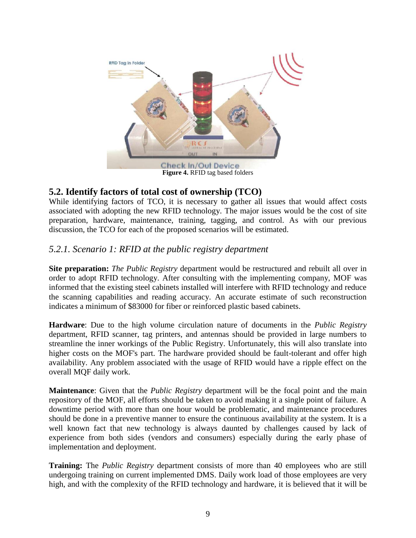

# <span id="page-9-0"></span>**5.2. Identify factors of total cost of ownership (TCO)**

While identifying factors of TCO, it is necessary to gather all issues that would affect costs associated with adopting the new RFID technology. The major issues would be the cost of site preparation, hardware, maintenance, training, tagging, and control. As with our previous discussion, the TCO for each of the proposed scenarios will be estimated.

#### *5.2.1. Scenario 1: RFID at the public registry department*

**Site preparation:** *The Public Registry* department would be restructured and rebuilt all over in order to adopt RFID technology. After consulting with the implementing company, MOF was informed that the existing steel cabinets installed will interfere with RFID technology and reduce the scanning capabilities and reading accuracy. An accurate estimate of such reconstruction indicates a minimum of \$83000 for fiber or reinforced plastic based cabinets.

**Hardware**: Due to the high volume circulation nature of documents in the *Public Registry*  department, RFID scanner, tag printers, and antennas should be provided in large numbers to streamline the inner workings of the Public Registry. Unfortunately, this will also translate into higher costs on the MOF's part. The hardware provided should be fault-tolerant and offer high availability. Any problem associated with the usage of RFID would have a ripple effect on the overall MQF daily work.

**Maintenance**: Given that the *Public Registry* department will be the focal point and the main repository of the MOF, all efforts should be taken to avoid making it a single point of failure. A downtime period with more than one hour would be problematic, and maintenance procedures should be done in a preventive manner to ensure the continuous availability at the system. It is a well known fact that new technology is always daunted by challenges caused by lack of experience from both sides (vendors and consumers) especially during the early phase of implementation and deployment.

**Training:** The *Public Registry* department consists of more than 40 employees who are still undergoing training on current implemented DMS. Daily work load of those employees are very high, and with the complexity of the RFID technology and hardware, it is believed that it will be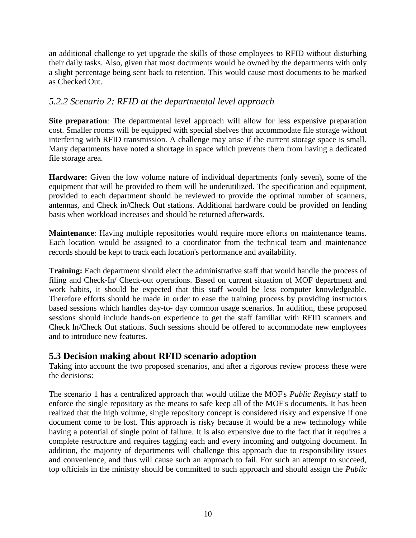an additional challenge to yet upgrade the skills of those employees to RFID without disturbing their daily tasks. Also, given that most documents would be owned by the departments with only a slight percentage being sent back to retention. This would cause most documents to be marked as Checked Out.

#### *5.2.2 Scenario 2: RFID at the departmental level approach*

**Site preparation**: The departmental level approach will allow for less expensive preparation cost. Smaller rooms will be equipped with special shelves that accommodate file storage without interfering with RFID transmission. A challenge may arise if the current storage space is small. Many departments have noted a shortage in space which prevents them from having a dedicated file storage area.

**Hardware:** Given the low volume nature of individual departments (only seven), some of the equipment that will be provided to them will be underutilized. The specification and equipment, provided to each department should be reviewed to provide the optimal number of scanners, antennas, and Check in/Check Out stations. Additional hardware could be provided on lending basis when workload increases and should be returned afterwards.

**Maintenance**: Having multiple repositories would require more efforts on maintenance teams. Each location would be assigned to a coordinator from the technical team and maintenance records should be kept to track each location's performance and availability.

**Training:** Each department should elect the administrative staff that would handle the process of filing and Check-In/ Check-out operations. Based on current situation of MOF department and work habits, it should be expected that this staff would be less computer knowledgeable. Therefore efforts should be made in order to ease the training process by providing instructors based sessions which handles day-to- day common usage scenarios. In addition, these proposed sessions should include hands-on experience to get the staff familiar with RFID scanners and Check ln/Check Out stations. Such sessions should be offered to accommodate new employees and to introduce new features.

#### **5.3 Decision making about RFID scenario adoption**

Taking into account the two proposed scenarios, and after a rigorous review process these were the decisions:

The scenario 1 has a centralized approach that would utilize the MOF's *Public Registry* staff to enforce the single repository as the means to safe keep all of the MOF's documents. It has been realized that the high volume, single repository concept is considered risky and expensive if one document come to be lost. This approach is risky because it would be a new technology while having a potential of single point of failure. It is also expensive due to the fact that it requires a complete restructure and requires tagging each and every incoming and outgoing document. In addition, the majority of departments will challenge this approach due to responsibility issues and convenience, and thus will cause such an approach to fail. For such an attempt to succeed, top officials in the ministry should be committed to such approach and should assign the *Public*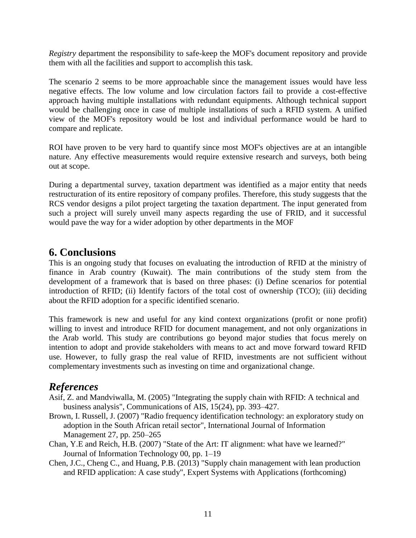*Registry* department the responsibility to safe-keep the MOF's document repository and provide them with all the facilities and support to accomplish this task.

The scenario 2 seems to be more approachable since the management issues would have less negative effects. The low volume and low circulation factors fail to provide a cost-effective approach having multiple installations with redundant equipments. Although technical support would be challenging once in case of multiple installations of such a RFID system. A unified view of the MOF's repository would be lost and individual performance would be hard to compare and replicate.

ROI have proven to be very hard to quantify since most MOF's objectives are at an intangible nature. Any effective measurements would require extensive research and surveys, both being out at scope.

During a departmental survey, taxation department was identified as a major entity that needs restructuration of its entire repository of company profiles. Therefore, this study suggests that the RCS vendor designs a pilot project targeting the taxation department. The input generated from such a project will surely unveil many aspects regarding the use of FRID, and it successful would pave the way for a wider adoption by other departments in the MOF

# **6. Conclusions**

This is an ongoing study that focuses on evaluating the introduction of RFID at the ministry of finance in Arab country (Kuwait). The main contributions of the study stem from the development of a framework that is based on three phases: (i) Define scenarios for potential introduction of RFID; (ii) Identify factors of the total cost of ownership (TCO); (iii) deciding about the RFID adoption for a specific identified scenario.

This framework is new and useful for any kind context organizations (profit or none profit) willing to invest and introduce RFID for document management, and not only organizations in the Arab world. This study are contributions go beyond major studies that focus merely on intention to adopt and provide stakeholders with means to act and move forward toward RFID use. However, to fully grasp the real value of RFID, investments are not sufficient without complementary investments such as investing on time and organizational change.

# *References*

- Asif, Z. and Mandviwalla, M. (2005) "Integrating the supply chain with RFID: A technical and business analysis", Communications of AIS, 15(24), pp. 393–427.
- Brown, I. Russell, J. (2007) "Radio frequency identification technology: an exploratory study on adoption in the South African retail sector", International Journal of Information Management 27, pp. 250–265
- Chan, Y.E and Reich, H.B. (2007) "State of the Art: IT alignment: what have we learned?" Journal of Information Technology 00, pp. 1–19
- Chen, J.C., Cheng C., and Huang, P.B. (2013) "Supply chain management with lean production and RFID application: A case study", Expert Systems with Applications (forthcoming)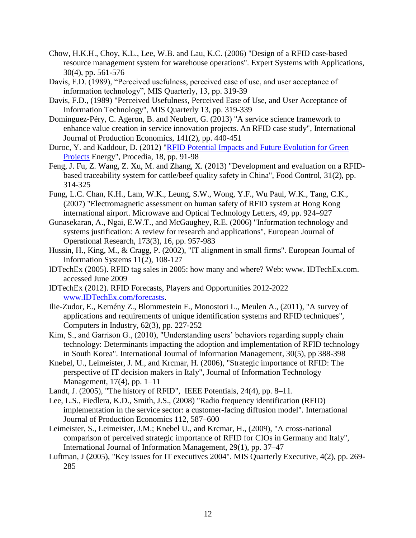- Chow, H.K.H., Choy, K.L., Lee, W.B. and Lau, K.C. (2006) "Design of a RFID case-based resource management system for warehouse operations". Expert Systems with Applications, 30(4), pp. 561-576
- Davis, F.D. (1989), "Perceived usefulness, perceived ease of use, and user acceptance of information technology", MIS Quarterly, 13, pp. 319-39
- Davis, F.D., (1989) "Perceived Usefulness, Perceived Ease of Use, and User Acceptance of Information Technology", MIS Quarterly 13, pp. 319-339
- Dominguez-Péry, C. Ageron, B. and Neubert, G. (2013) "A service science framework to enhance value creation in service innovation projects. An RFID case study", International Journal of Production Economics, 141(2), pp. 440-451
- Duroc, Y. and Kaddour, D. (2012) ["RFID Potential Impacts and Future Evolution for Green](http://www.sciencedirect.com/science/article/pii/S1876610212007916)  [Projects](http://www.sciencedirect.com/science/article/pii/S1876610212007916) Energy", Procedia, 18, pp. 91-98
- Feng, J. Fu, Z. Wang, Z. Xu, M. and Zhang, X. (2013) "Development and evaluation on a RFIDbased traceability system for cattle/beef quality safety in China", Food Control, 31(2), pp. 314-325
- Fung, L.C. Chan, K.H., Lam, W.K., Leung, S.W., Wong, Y.F., Wu Paul, W.K., Tang, C.K., (2007) "Electromagnetic assessment on human safety of RFID system at Hong Kong international airport. Microwave and Optical Technology Letters, 49, pp. 924–927
- Gunasekaran, A., Ngai, E.W.T., and McGaughey, R.E. (2006) "Information technology and systems justification: A review for research and applications", European Journal of Operational Research, 173(3), 16, pp. 957-983
- Hussin, H., King, M., & Cragg, P. (2002), "IT alignment in small firms". European Journal of Information Systems 11(2), 108-127
- IDTechEx (2005). RFID tag sales in 2005: how many and where? Web: www. IDTechEx.com. accessed June 2009
- IDTechEx (2012). RFID Forecasts, Players and Opportunities 2012-2022 [www.IDTechEx.com/forecasts.](http://www.idtechex.com/forecasts)
- Ilie-Zudor, E., Kemény Z., Blommestein F., Monostori L., Meulen A., (2011), "A survey of applications and requirements of unique identification systems and RFID techniques", Computers in Industry, 62(3), pp. 227-252
- Kim, S., and Garrison G., (2010), "Understanding users' behaviors regarding supply chain technology: Determinants impacting the adoption and implementation of RFID technology in South Korea". International Journal of Information Management, 30(5), pp 388-398
- Knebel, U., Leimeister, J. M., and Krcmar, H. (2006), "Strategic importance of RFID: The perspective of IT decision makers in Italy", Journal of Information Technology Management, 17(4), pp. 1–11
- Landt, J. (2005), "The history of RFID", IEEE Potentials, 24(4), pp. 8–11.
- Lee, L.S., Fiedlera, K.D., Smith, J.S., (2008) "Radio frequency identification (RFID) implementation in the service sector: a customer-facing diffusion model". International Journal of Production Economics 112, 587–600
- Leimeister, S., Leimeister, J.M.; Knebel U., and Krcmar, H., (2009), "A cross-national comparison of perceived strategic importance of RFID for CIOs in Germany and Italy", International Journal of Information Management, 29(1), pp. 37–47
- Luftman, J (2005), "Key issues for IT executives 2004". MIS Quarterly Executive, 4(2), pp. 269- 285